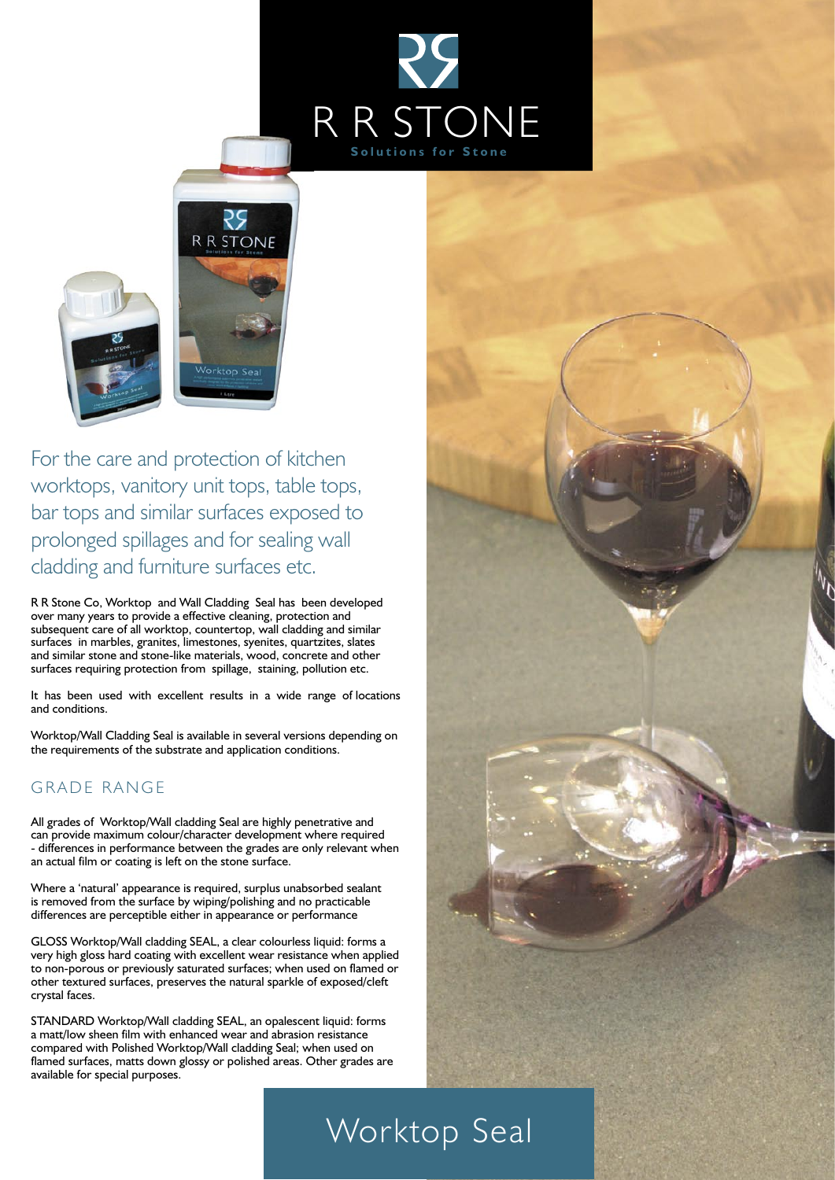



For the care and protection of kitchen worktops, vanitory unit tops, table tops, bar tops and similar surfaces exposed to prolonged spillages and for sealing wall cladding and furniture surfaces etc.

R R Stone Co, Worktop and Wall Cladding Seal has been developed over many years to provide a effective cleaning, protection and subsequent care of all worktop, countertop, wall cladding and similar surfaces in marbles, granites, limestones, syenites, quartzites, slates and similar stone and stone-like materials, wood, concrete and other surfaces requiring protection from spillage, staining, pollution etc.

It has been used with excellent results in a wide range of locations and conditions.

Worktop/Wall Cladding Seal is available in several versions depending on the requirements of the substrate and application conditions.

### **GRADE RANGE**

All grades of Worktop/Wall cladding Seal are highly penetrative and can provide maximum colour/character development where required - differences in performance between the grades are only relevant when an actual film or coating is left on the stone surface.

Where a 'natural' appearance is required, surplus unabsorbed sealant is removed from the surface by wiping/polishing and no practicable differences are perceptible either in appearance or performance

GLOSS Worktop/Wall cladding SEAL, a clear colourless liquid: forms a very high gloss hard coating with excellent wear resistance when applied to non-porous or previously saturated surfaces; when used on flamed or other textured surfaces, preserves the natural sparkle of exposed/cleft crystal faces.

STANDARD Worktop/Wall cladding SEAL, an opalescent liquid: forms a matt/low sheen film with enhanced wear and abrasion resistance compared with Polished Worktop/Wall cladding Seal; when used on flamed surfaces, matts down glossy or polished areas. Other grades are available for special purposes.



# Worktop Seal